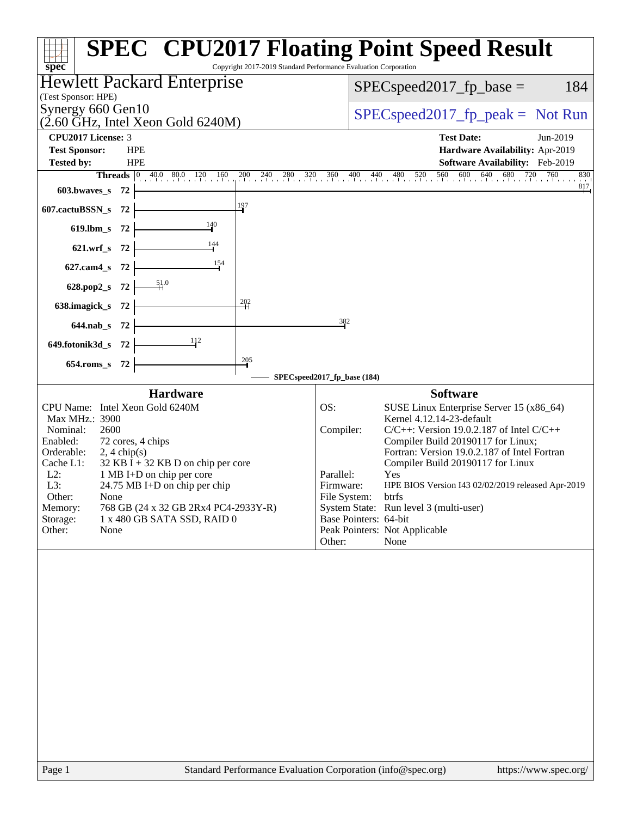| Copyright 2017-2019 Standard Performance Evaluation Corporation<br>spec <sup>®</sup>                                                                                                                                                                                               | <b>SPEC<sup>®</sup> CPU2017 Floating Point Speed Result</b>                                                                                                                                                                                                                                                                                                 |
|------------------------------------------------------------------------------------------------------------------------------------------------------------------------------------------------------------------------------------------------------------------------------------|-------------------------------------------------------------------------------------------------------------------------------------------------------------------------------------------------------------------------------------------------------------------------------------------------------------------------------------------------------------|
| <b>Hewlett Packard Enterprise</b>                                                                                                                                                                                                                                                  | 184<br>$SPEC speed2017_fp\_base =$                                                                                                                                                                                                                                                                                                                          |
| (Test Sponsor: HPE)                                                                                                                                                                                                                                                                |                                                                                                                                                                                                                                                                                                                                                             |
| Synergy 660 Gen10<br>$(2.60 \text{ GHz}, \text{Intel Xeon Gold } 6240 \text{M})$                                                                                                                                                                                                   | $SPEC speed2017rfp peak = Not Run$                                                                                                                                                                                                                                                                                                                          |
| CPU2017 License: 3                                                                                                                                                                                                                                                                 | <b>Test Date:</b><br>Jun-2019                                                                                                                                                                                                                                                                                                                               |
| <b>Test Sponsor:</b><br><b>HPE</b>                                                                                                                                                                                                                                                 | Hardware Availability: Apr-2019                                                                                                                                                                                                                                                                                                                             |
| <b>Tested by:</b><br><b>HPE</b>                                                                                                                                                                                                                                                    | Software Availability: Feb-2019<br><b>Threads</b> 0 40.0 80.0 120 160 200 240 280 320 360 400 440 480 520 560 600 640 680 720 760 830<br>830                                                                                                                                                                                                                |
| $603.bwaves$ 72                                                                                                                                                                                                                                                                    | $\frac{817}{ }$                                                                                                                                                                                                                                                                                                                                             |
| $\frac{197}{ }$<br>607.cactuBSSN_s $72$                                                                                                                                                                                                                                            |                                                                                                                                                                                                                                                                                                                                                             |
| $\frac{140}{1}$<br>619.lbm_s $72$ $\vdash$                                                                                                                                                                                                                                         |                                                                                                                                                                                                                                                                                                                                                             |
| 621.wrf_s 72 $\frac{144}{1}$                                                                                                                                                                                                                                                       |                                                                                                                                                                                                                                                                                                                                                             |
| 627.cam4_s 72 $\frac{154}{1}$                                                                                                                                                                                                                                                      |                                                                                                                                                                                                                                                                                                                                                             |
| 628.pop2_s 72 $\frac{51.0}{1}$                                                                                                                                                                                                                                                     |                                                                                                                                                                                                                                                                                                                                                             |
| $\frac{202}{1}$<br>638.imagick_s $72$ $\overline{\qquad}$                                                                                                                                                                                                                          |                                                                                                                                                                                                                                                                                                                                                             |
| $644.nab_s$ 72                                                                                                                                                                                                                                                                     | 382                                                                                                                                                                                                                                                                                                                                                         |
| 649.fotonik3d_s 72 $\frac{1}{2}$                                                                                                                                                                                                                                                   |                                                                                                                                                                                                                                                                                                                                                             |
| $\frac{205}{4}$                                                                                                                                                                                                                                                                    |                                                                                                                                                                                                                                                                                                                                                             |
| 654.roms 8 72                                                                                                                                                                                                                                                                      | SPECspeed2017_fp_base (184)                                                                                                                                                                                                                                                                                                                                 |
| CPU Name: Intel Xeon Gold 6240M<br>Max MHz.: 3900<br>2600<br>Nominal:<br>72 cores, 4 chips<br>Enabled:<br>Orderable:<br>$2, 4 \text{ chip}(s)$<br>$32$ KB I + 32 KB D on chip per core<br>Cache L1:<br>$L2$ :<br>1 MB I+D on chip per core<br>L3:<br>24.75 MB I+D on chip per chip | OS:<br>SUSE Linux Enterprise Server 15 (x86_64)<br>Kernel 4.12.14-23-default<br>$C/C++$ : Version 19.0.2.187 of Intel $C/C++$<br>Compiler:<br>Compiler Build 20190117 for Linux;<br>Fortran: Version 19.0.2.187 of Intel Fortran<br>Compiler Build 20190117 for Linux<br>Parallel:<br>Yes<br>Firmware:<br>HPE BIOS Version I43 02/02/2019 released Apr-2019 |
| Other:<br>None<br>Memory:<br>768 GB (24 x 32 GB 2Rx4 PC4-2933Y-R)<br>Storage:<br>1 x 480 GB SATA SSD, RAID 0<br>Other:<br>None                                                                                                                                                     | File System:<br>btrfs<br>System State: Run level 3 (multi-user)<br>Base Pointers: 64-bit<br>Peak Pointers: Not Applicable<br>Other:<br>None                                                                                                                                                                                                                 |
|                                                                                                                                                                                                                                                                                    |                                                                                                                                                                                                                                                                                                                                                             |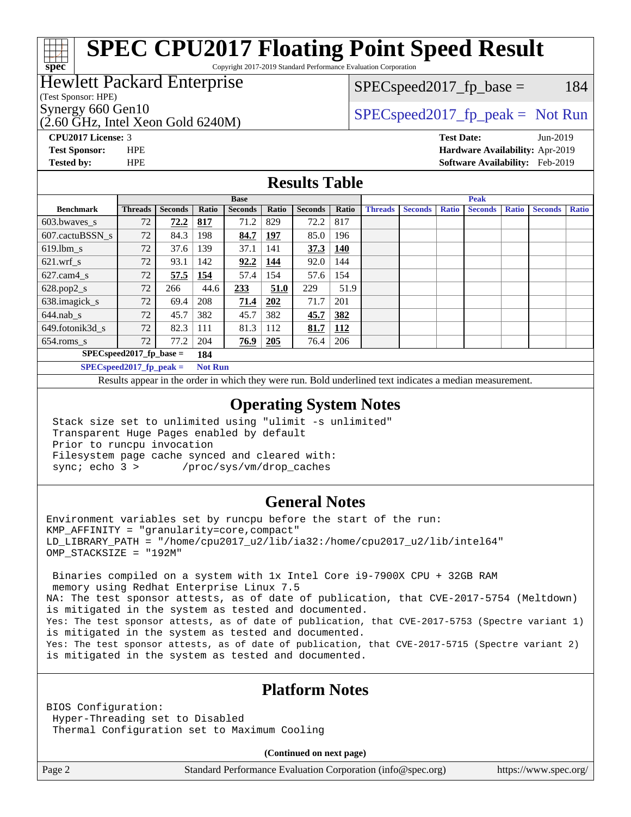#### **[spec](http://www.spec.org/) [SPEC CPU2017 Floating Point Speed Result](http://www.spec.org/auto/cpu2017/Docs/result-fields.html#SPECCPU2017FloatingPointSpeedResult)** Copyright 2017-2019 Standard Performance Evaluation Corporation

#### Hewlett Packard Enterprise

(Test Sponsor: HPE)

(2.60 GHz, Intel Xeon Gold 6240M)

 $SPEC speed2017_fp\_base = 184$ 

### Synergy 660 Gen10<br>  $SPEC speed2017$  [p\_peak = Not Run

**[CPU2017 License:](http://www.spec.org/auto/cpu2017/Docs/result-fields.html#CPU2017License)** 3 **[Test Date:](http://www.spec.org/auto/cpu2017/Docs/result-fields.html#TestDate)** Jun-2019 **[Test Sponsor:](http://www.spec.org/auto/cpu2017/Docs/result-fields.html#TestSponsor)** HPE **[Hardware Availability:](http://www.spec.org/auto/cpu2017/Docs/result-fields.html#HardwareAvailability)** Apr-2019 **[Tested by:](http://www.spec.org/auto/cpu2017/Docs/result-fields.html#Testedby)** HPE **[Software Availability:](http://www.spec.org/auto/cpu2017/Docs/result-fields.html#SoftwareAvailability)** Feb-2019

#### **[Results Table](http://www.spec.org/auto/cpu2017/Docs/result-fields.html#ResultsTable)**

| <b>Base</b>      |                            |                |              |                | <b>Peak</b> |                |            |                |                |              |                |              |                |              |
|------------------|----------------------------|----------------|--------------|----------------|-------------|----------------|------------|----------------|----------------|--------------|----------------|--------------|----------------|--------------|
| <b>Benchmark</b> | <b>Threads</b>             | <b>Seconds</b> | Ratio        | <b>Seconds</b> | Ratio       | <b>Seconds</b> | Ratio      | <b>Threads</b> | <b>Seconds</b> | <b>Ratio</b> | <b>Seconds</b> | <b>Ratio</b> | <b>Seconds</b> | <b>Ratio</b> |
| 603.bwayes_s     | 72                         | 72.2           | 817          | 71.2           | 829         | 72.2           | 817        |                |                |              |                |              |                |              |
| 607.cactuBSSN s  | 72                         | 84.3           | 198          | 84.7           | 197         | 85.0           | 196        |                |                |              |                |              |                |              |
| $619.$ lbm s     | 72                         | 37.6           | 139          | 37.1           | 141         | 37.3           | 140        |                |                |              |                |              |                |              |
| $621$ .wrf s     | 72                         | 93.1           | 142          | 92.2           | 144         | 92.0           | 144        |                |                |              |                |              |                |              |
| $627.cam4_s$     | 72                         | 57.5           | 154          | 57.4           | 154         | 57.6           | 154        |                |                |              |                |              |                |              |
| $628.pop2_s$     | 72                         | 266            | 44.6         | 233            | 51.0        | 229            | 51.9       |                |                |              |                |              |                |              |
| 638.imagick_s    | 72                         | 69.4           | 208          | 71.4           | 202         | 71.7           | 201        |                |                |              |                |              |                |              |
| $644$ .nab s     | 72                         | 45.7           | 382          | 45.7           | 382         | 45.7           | 382        |                |                |              |                |              |                |              |
| 649.fotonik3d s  | 72                         | 82.3           | 111          | 81.3           | 112         | 81.7           | <u>112</u> |                |                |              |                |              |                |              |
| $654$ .roms s    | 72                         | 77.2           | 204          | 76.9           | 205         | 76.4           | 206        |                |                |              |                |              |                |              |
|                  | $SPEC speed2017$ fp base = |                | 184          |                |             |                |            |                |                |              |                |              |                |              |
|                  | $CDFAC = 10047C$           |                | $\mathbf{M}$ |                |             |                |            |                |                |              |                |              |                |              |

**[SPECspeed2017\\_fp\\_peak =](http://www.spec.org/auto/cpu2017/Docs/result-fields.html#SPECspeed2017fppeak) Not Run**

Results appear in the [order in which they were run.](http://www.spec.org/auto/cpu2017/Docs/result-fields.html#RunOrder) Bold underlined text [indicates a median measurement](http://www.spec.org/auto/cpu2017/Docs/result-fields.html#Median).

#### **[Operating System Notes](http://www.spec.org/auto/cpu2017/Docs/result-fields.html#OperatingSystemNotes)**

 Stack size set to unlimited using "ulimit -s unlimited" Transparent Huge Pages enabled by default Prior to runcpu invocation Filesystem page cache synced and cleared with: sync; echo 3 > /proc/sys/vm/drop\_caches

#### **[General Notes](http://www.spec.org/auto/cpu2017/Docs/result-fields.html#GeneralNotes)**

Environment variables set by runcpu before the start of the run: KMP\_AFFINITY = "granularity=core,compact" LD\_LIBRARY\_PATH = "/home/cpu2017\_u2/lib/ia32:/home/cpu2017\_u2/lib/intel64" OMP\_STACKSIZE = "192M"

 Binaries compiled on a system with 1x Intel Core i9-7900X CPU + 32GB RAM memory using Redhat Enterprise Linux 7.5 NA: The test sponsor attests, as of date of publication, that CVE-2017-5754 (Meltdown) is mitigated in the system as tested and documented. Yes: The test sponsor attests, as of date of publication, that CVE-2017-5753 (Spectre variant 1) is mitigated in the system as tested and documented. Yes: The test sponsor attests, as of date of publication, that CVE-2017-5715 (Spectre variant 2) is mitigated in the system as tested and documented.

#### **[Platform Notes](http://www.spec.org/auto/cpu2017/Docs/result-fields.html#PlatformNotes)**

BIOS Configuration: Hyper-Threading set to Disabled Thermal Configuration set to Maximum Cooling

**(Continued on next page)**

Page 2 Standard Performance Evaluation Corporation [\(info@spec.org\)](mailto:info@spec.org) <https://www.spec.org/>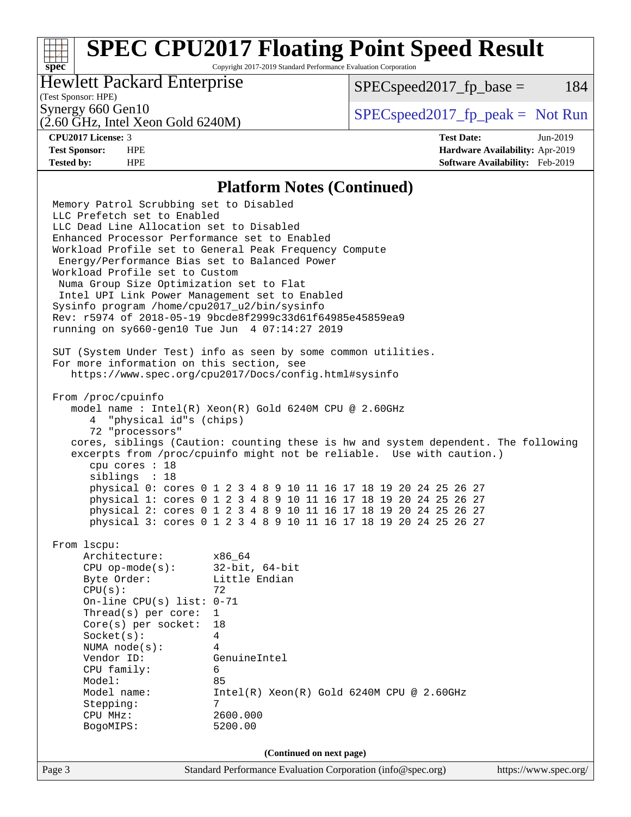# **[SPEC CPU2017 Floating Point Speed Result](http://www.spec.org/auto/cpu2017/Docs/result-fields.html#SPECCPU2017FloatingPointSpeedResult)**

Copyright 2017-2019 Standard Performance Evaluation Corporation

#### Hewlett Packard Enterprise

 $SPEC speed2017_fp\_base = 184$ 

#### (Test Sponsor: HPE)

(2.60 GHz, Intel Xeon Gold 6240M)

Synergy 660 Gen10<br>  $SPEC speed2017<sub>rfp</sub> peak = Not Run$ 

**[spec](http://www.spec.org/)**

**[CPU2017 License:](http://www.spec.org/auto/cpu2017/Docs/result-fields.html#CPU2017License)** 3 **[Test Date:](http://www.spec.org/auto/cpu2017/Docs/result-fields.html#TestDate)** Jun-2019 **[Test Sponsor:](http://www.spec.org/auto/cpu2017/Docs/result-fields.html#TestSponsor)** HPE **[Hardware Availability:](http://www.spec.org/auto/cpu2017/Docs/result-fields.html#HardwareAvailability)** Apr-2019 **[Tested by:](http://www.spec.org/auto/cpu2017/Docs/result-fields.html#Testedby)** HPE **[Software Availability:](http://www.spec.org/auto/cpu2017/Docs/result-fields.html#SoftwareAvailability)** Feb-2019

#### **[Platform Notes \(Continued\)](http://www.spec.org/auto/cpu2017/Docs/result-fields.html#PlatformNotes)**

Page 3 Standard Performance Evaluation Corporation [\(info@spec.org\)](mailto:info@spec.org) <https://www.spec.org/> Memory Patrol Scrubbing set to Disabled LLC Prefetch set to Enabled LLC Dead Line Allocation set to Disabled Enhanced Processor Performance set to Enabled Workload Profile set to General Peak Frequency Compute Energy/Performance Bias set to Balanced Power Workload Profile set to Custom Numa Group Size Optimization set to Flat Intel UPI Link Power Management set to Enabled Sysinfo program /home/cpu2017\_u2/bin/sysinfo Rev: r5974 of 2018-05-19 9bcde8f2999c33d61f64985e45859ea9 running on sy660-gen10 Tue Jun 4 07:14:27 2019 SUT (System Under Test) info as seen by some common utilities. For more information on this section, see <https://www.spec.org/cpu2017/Docs/config.html#sysinfo> From /proc/cpuinfo model name : Intel(R) Xeon(R) Gold 6240M CPU @ 2.60GHz 4 "physical id"s (chips) 72 "processors" cores, siblings (Caution: counting these is hw and system dependent. The following excerpts from /proc/cpuinfo might not be reliable. Use with caution.) cpu cores : 18 siblings : 18 physical 0: cores 0 1 2 3 4 8 9 10 11 16 17 18 19 20 24 25 26 27 physical 1: cores 0 1 2 3 4 8 9 10 11 16 17 18 19 20 24 25 26 27 physical 2: cores 0 1 2 3 4 8 9 10 11 16 17 18 19 20 24 25 26 27 physical 3: cores 0 1 2 3 4 8 9 10 11 16 17 18 19 20 24 25 26 27 From lscpu: Architecture: x86\_64 CPU op-mode(s): 32-bit, 64-bit Byte Order: Little Endian  $CPU(s):$  72 On-line CPU(s) list: 0-71 Thread(s) per core: 1 Core(s) per socket: 18 Socket(s): 4 NUMA node(s): 4 Vendor ID: GenuineIntel CPU family: 6 Model: 85 Model name: Intel(R) Xeon(R) Gold 6240M CPU @ 2.60GHz Stepping: 7 CPU MHz: 2600.000 BogoMIPS: 5200.00 **(Continued on next page)**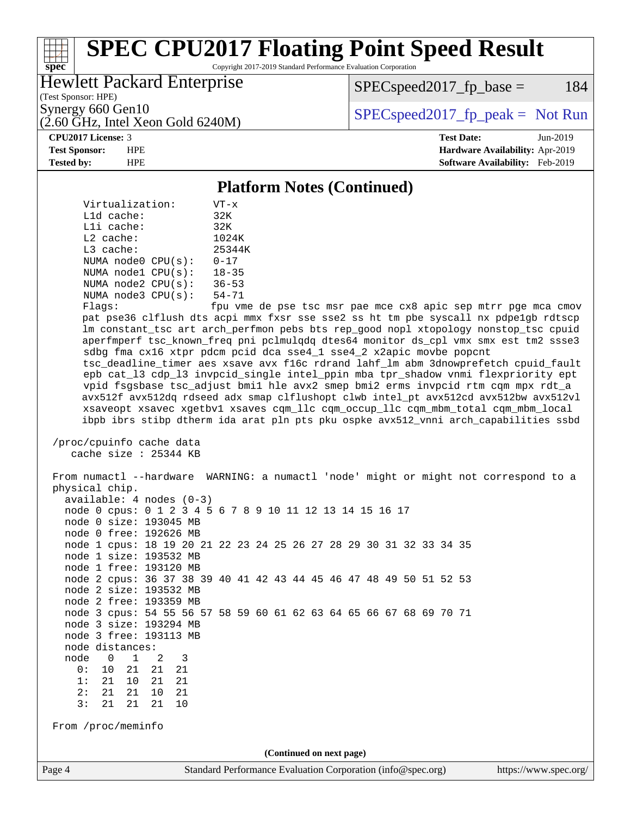# **[SPEC CPU2017 Floating Point Speed Result](http://www.spec.org/auto/cpu2017/Docs/result-fields.html#SPECCPU2017FloatingPointSpeedResult)**

Copyright 2017-2019 Standard Performance Evaluation Corporation

#### Hewlett Packard Enterprise

 $SPEC speed2017_fp\_base = 184$ 

(Test Sponsor: HPE)

(2.60 GHz, Intel Xeon Gold 6240M)

Synergy 660 Gen10<br>  $SPEC speed2017<sub>rfp</sub> peak = Not Run$ 

**[spec](http://www.spec.org/)**

**[CPU2017 License:](http://www.spec.org/auto/cpu2017/Docs/result-fields.html#CPU2017License)** 3 **[Test Date:](http://www.spec.org/auto/cpu2017/Docs/result-fields.html#TestDate)** Jun-2019 **[Test Sponsor:](http://www.spec.org/auto/cpu2017/Docs/result-fields.html#TestSponsor)** HPE **[Hardware Availability:](http://www.spec.org/auto/cpu2017/Docs/result-fields.html#HardwareAvailability)** Apr-2019 **[Tested by:](http://www.spec.org/auto/cpu2017/Docs/result-fields.html#Testedby)** HPE **[Software Availability:](http://www.spec.org/auto/cpu2017/Docs/result-fields.html#SoftwareAvailability)** Feb-2019

#### **[Platform Notes \(Continued\)](http://www.spec.org/auto/cpu2017/Docs/result-fields.html#PlatformNotes)**

 Virtualization: VT-x L1d cache: 32K L1i cache: 32K L2 cache: 1024K L3 cache: 25344K NUMA node0 CPU(s): 0-17 NUMA node1 CPU(s): 18-35 NUMA node2 CPU(s): 36-53 NUMA node3 CPU(s): 54-71

Flags: fpu vme de pse tsc msr pae mce cx8 apic sep mtrr pge mca cmov pat pse36 clflush dts acpi mmx fxsr sse sse2 ss ht tm pbe syscall nx pdpe1gb rdtscp lm constant\_tsc art arch\_perfmon pebs bts rep\_good nopl xtopology nonstop\_tsc cpuid aperfmperf tsc\_known\_freq pni pclmulqdq dtes64 monitor ds\_cpl vmx smx est tm2 ssse3 sdbg fma cx16 xtpr pdcm pcid dca sse4\_1 sse4\_2 x2apic movbe popcnt tsc\_deadline\_timer aes xsave avx f16c rdrand lahf\_lm abm 3dnowprefetch cpuid\_fault epb cat\_l3 cdp\_l3 invpcid\_single intel\_ppin mba tpr\_shadow vnmi flexpriority ept vpid fsgsbase tsc\_adjust bmi1 hle avx2 smep bmi2 erms invpcid rtm cqm mpx rdt\_a avx512f avx512dq rdseed adx smap clflushopt clwb intel\_pt avx512cd avx512bw avx512vl xsaveopt xsavec xgetbv1 xsaves cqm\_llc cqm\_occup\_llc cqm\_mbm\_total cqm\_mbm\_local ibpb ibrs stibp dtherm ida arat pln pts pku ospke avx512\_vnni arch\_capabilities ssbd

 /proc/cpuinfo cache data cache size : 25344 KB

 From numactl --hardware WARNING: a numactl 'node' might or might not correspond to a physical chip. available: 4 nodes (0-3) node 0 cpus: 0 1 2 3 4 5 6 7 8 9 10 11 12 13 14 15 16 17 node 0 size: 193045 MB node 0 free: 192626 MB node 1 cpus: 18 19 20 21 22 23 24 25 26 27 28 29 30 31 32 33 34 35 node 1 size: 193532 MB node 1 free: 193120 MB node 2 cpus: 36 37 38 39 40 41 42 43 44 45 46 47 48 49 50 51 52 53 node 2 size: 193532 MB node 2 free: 193359 MB node 3 cpus: 54 55 56 57 58 59 60 61 62 63 64 65 66 67 68 69 70 71 node 3 size: 193294 MB node 3 free: 193113 MB node distances: node 0 1 2 3 0: 10 21 21 21 1: 21 10 21 21 2: 21 21 10 21 3: 21 21 21 10 From /proc/meminfo **(Continued on next page)**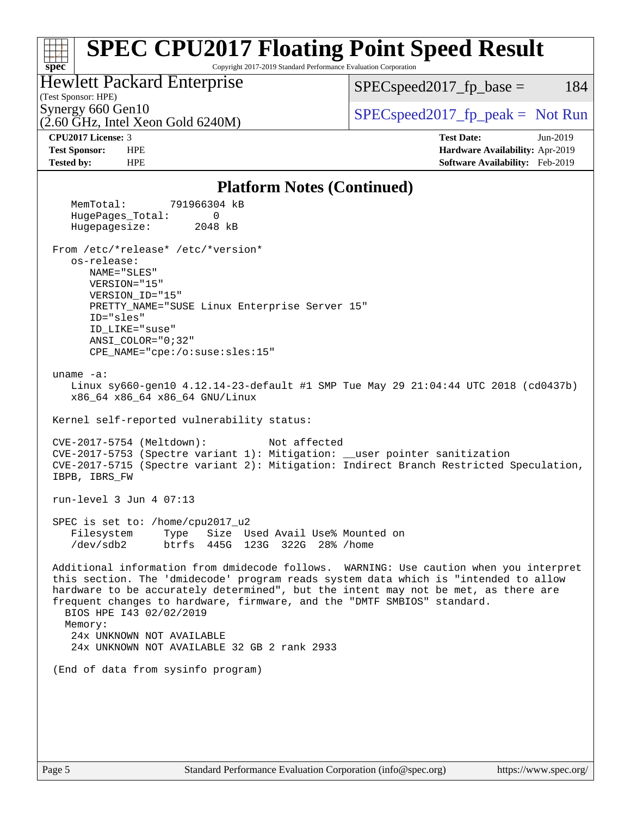#### **[spec](http://www.spec.org/) [SPEC CPU2017 Floating Point Speed Result](http://www.spec.org/auto/cpu2017/Docs/result-fields.html#SPECCPU2017FloatingPointSpeedResult)** Copyright 2017-2019 Standard Performance Evaluation Corporation (Test Sponsor: HPE) Hewlett Packard Enterprise (2.60 GHz, Intel Xeon Gold 6240M) Synergy 660 Gen10  $SPEC speed2017$  fp\_peak = Not Run  $SPEC speed2017_fp\_base = 184$ **[CPU2017 License:](http://www.spec.org/auto/cpu2017/Docs/result-fields.html#CPU2017License)** 3 **[Test Date:](http://www.spec.org/auto/cpu2017/Docs/result-fields.html#TestDate)** Jun-2019 **[Test Sponsor:](http://www.spec.org/auto/cpu2017/Docs/result-fields.html#TestSponsor)** HPE **[Hardware Availability:](http://www.spec.org/auto/cpu2017/Docs/result-fields.html#HardwareAvailability)** Apr-2019 **[Tested by:](http://www.spec.org/auto/cpu2017/Docs/result-fields.html#Testedby)** HPE **[Software Availability:](http://www.spec.org/auto/cpu2017/Docs/result-fields.html#SoftwareAvailability)** Feb-2019 **[Platform Notes \(Continued\)](http://www.spec.org/auto/cpu2017/Docs/result-fields.html#PlatformNotes)** MemTotal: 791966304 kB HugePages\_Total: 0 Hugepagesize: 2048 kB From /etc/\*release\* /etc/\*version\* os-release: NAME="SLES" VERSION="15" VERSION\_ID="15" PRETTY\_NAME="SUSE Linux Enterprise Server 15" ID="sles" ID\_LIKE="suse" ANSI\_COLOR="0;32" CPE\_NAME="cpe:/o:suse:sles:15" uname -a: Linux sy660-gen10 4.12.14-23-default #1 SMP Tue May 29 21:04:44 UTC 2018 (cd0437b) x86\_64 x86\_64 x86\_64 GNU/Linux Kernel self-reported vulnerability status: CVE-2017-5754 (Meltdown): Not affected CVE-2017-5753 (Spectre variant 1): Mitigation: \_\_user pointer sanitization CVE-2017-5715 (Spectre variant 2): Mitigation: Indirect Branch Restricted Speculation, IBPB, IBRS\_FW run-level 3 Jun 4 07:13 SPEC is set to: /home/cpu2017\_u2 Filesystem Type Size Used Avail Use% Mounted on /dev/sdb2 btrfs 445G 123G 322G 28% /home Additional information from dmidecode follows. WARNING: Use caution when you interpret this section. The 'dmidecode' program reads system data which is "intended to allow hardware to be accurately determined", but the intent may not be met, as there are frequent changes to hardware, firmware, and the "DMTF SMBIOS" standard. BIOS HPE I43 02/02/2019 Memory: 24x UNKNOWN NOT AVAILABLE 24x UNKNOWN NOT AVAILABLE 32 GB 2 rank 2933 (End of data from sysinfo program)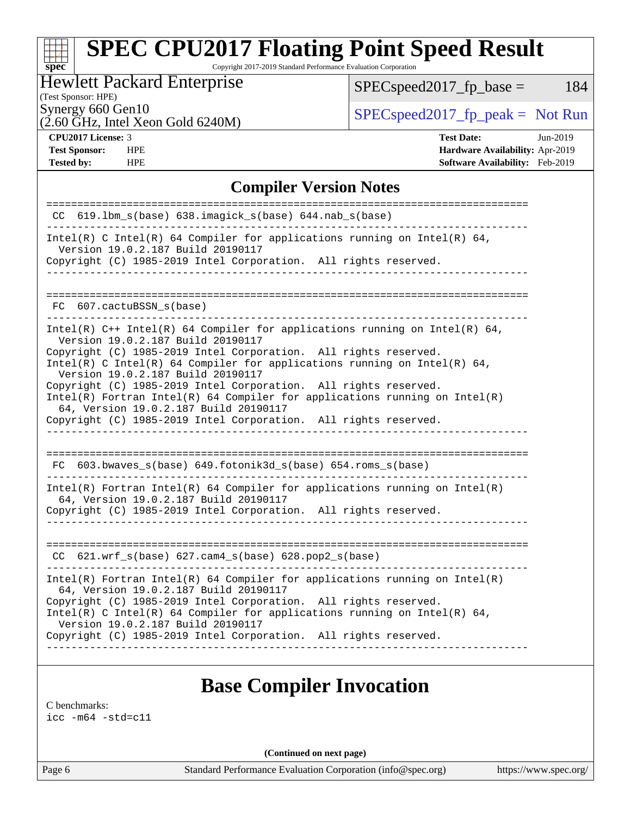# **[SPEC CPU2017 Floating Point Speed Result](http://www.spec.org/auto/cpu2017/Docs/result-fields.html#SPECCPU2017FloatingPointSpeedResult)**

Copyright 2017-2019 Standard Performance Evaluation Corporation

#### Hewlett Packard Enterprise

 $SPEC speed2017_fp\_base = 184$ 

(Test Sponsor: HPE)

(2.60 GHz, Intel Xeon Gold 6240M)

Synergy 660 Gen10<br>  $SPEC speed2017<sub>rfp</sub> peak = Not Run$ <br>  $SPEC speed2017<sub>rfp</sub> peak = Not Run$ 

**[spec](http://www.spec.org/)**

**[Tested by:](http://www.spec.org/auto/cpu2017/Docs/result-fields.html#Testedby)** HPE **[Software Availability:](http://www.spec.org/auto/cpu2017/Docs/result-fields.html#SoftwareAvailability)** Feb-2019

**[CPU2017 License:](http://www.spec.org/auto/cpu2017/Docs/result-fields.html#CPU2017License)** 3 **[Test Date:](http://www.spec.org/auto/cpu2017/Docs/result-fields.html#TestDate)** Jun-2019 **[Test Sponsor:](http://www.spec.org/auto/cpu2017/Docs/result-fields.html#TestSponsor)** HPE **[Hardware Availability:](http://www.spec.org/auto/cpu2017/Docs/result-fields.html#HardwareAvailability)** Apr-2019

#### **[Compiler Version Notes](http://www.spec.org/auto/cpu2017/Docs/result-fields.html#CompilerVersionNotes)**

| $CC$ 619.1bm_s(base) 638.imagick_s(base) 644.nab_s(base)                                                                                                                                 |
|------------------------------------------------------------------------------------------------------------------------------------------------------------------------------------------|
| Intel(R) C Intel(R) 64 Compiler for applications running on Intel(R) 64,<br>Version 19.0.2.187 Build 20190117                                                                            |
| Copyright (C) 1985-2019 Intel Corporation. All rights reserved.<br>----------------------------                                                                                          |
|                                                                                                                                                                                          |
| FC 607.cactuBSSN s(base)                                                                                                                                                                 |
| Intel(R) $C++$ Intel(R) 64 Compiler for applications running on Intel(R) 64,<br>Version 19.0.2.187 Build 20190117                                                                        |
| Copyright (C) 1985-2019 Intel Corporation. All rights reserved.<br>Intel(R) C Intel(R) 64 Compiler for applications running on Intel(R) 64,<br>Version 19.0.2.187 Build 20190117         |
| Copyright (C) 1985-2019 Intel Corporation. All rights reserved.<br>Intel(R) Fortran Intel(R) 64 Compiler for applications running on $Intel(R)$<br>64, Version 19.0.2.187 Build 20190117 |
| Copyright (C) 1985-2019 Intel Corporation. All rights reserved.                                                                                                                          |
|                                                                                                                                                                                          |
| FC 603.bwaves_s(base) 649.fotonik3d_s(base) 654.roms_s(base)                                                                                                                             |
| $Intel(R)$ Fortran Intel(R) 64 Compiler for applications running on Intel(R)<br>64, Version 19.0.2.187 Build 20190117                                                                    |
| Copyright (C) 1985-2019 Intel Corporation. All rights reserved.<br>_______________________________                                                                                       |
|                                                                                                                                                                                          |
| CC 621.wrf_s(base) 627.cam4_s(base) 628.pop2_s(base)                                                                                                                                     |
| $Intel(R)$ Fortran Intel(R) 64 Compiler for applications running on Intel(R)<br>64, Version 19.0.2.187 Build 20190117                                                                    |
| Copyright (C) 1985-2019 Intel Corporation. All rights reserved.<br>Intel(R) C Intel(R) 64 Compiler for applications running on Intel(R) 64,<br>Version 19.0.2.187 Build 20190117         |
| Copyright (C) 1985-2019 Intel Corporation. All rights reserved.                                                                                                                          |
|                                                                                                                                                                                          |

#### **[Base Compiler Invocation](http://www.spec.org/auto/cpu2017/Docs/result-fields.html#BaseCompilerInvocation)**

[C benchmarks](http://www.spec.org/auto/cpu2017/Docs/result-fields.html#Cbenchmarks):

[icc -m64 -std=c11](http://www.spec.org/cpu2017/results/res2019q3/cpu2017-20190625-15811.flags.html#user_CCbase_intel_icc_64bit_c11_33ee0cdaae7deeeab2a9725423ba97205ce30f63b9926c2519791662299b76a0318f32ddfffdc46587804de3178b4f9328c46fa7c2b0cd779d7a61945c91cd35)

**(Continued on next page)**

Page 6 Standard Performance Evaluation Corporation [\(info@spec.org\)](mailto:info@spec.org) <https://www.spec.org/>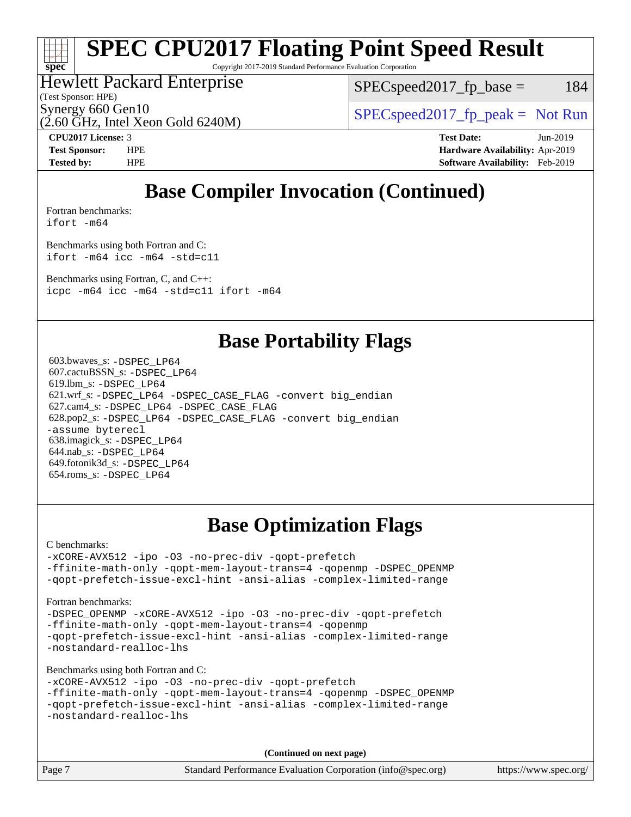# **[spec](http://www.spec.org/)**

# **[SPEC CPU2017 Floating Point Speed Result](http://www.spec.org/auto/cpu2017/Docs/result-fields.html#SPECCPU2017FloatingPointSpeedResult)**

Copyright 2017-2019 Standard Performance Evaluation Corporation

#### Hewlett Packard Enterprise

 $SPEC speed2017_fp\_base = 184$ 

(Test Sponsor: HPE)

(2.60 GHz, Intel Xeon Gold 6240M)

Synergy 660 Gen10<br>  $SPEC speed2017<sub>rfp</sub> peak = Not Run$ 

**[CPU2017 License:](http://www.spec.org/auto/cpu2017/Docs/result-fields.html#CPU2017License)** 3 **[Test Date:](http://www.spec.org/auto/cpu2017/Docs/result-fields.html#TestDate)** Jun-2019 **[Test Sponsor:](http://www.spec.org/auto/cpu2017/Docs/result-fields.html#TestSponsor)** HPE **[Hardware Availability:](http://www.spec.org/auto/cpu2017/Docs/result-fields.html#HardwareAvailability)** Apr-2019 **[Tested by:](http://www.spec.org/auto/cpu2017/Docs/result-fields.html#Testedby)** HPE **[Software Availability:](http://www.spec.org/auto/cpu2017/Docs/result-fields.html#SoftwareAvailability)** Feb-2019

## **[Base Compiler Invocation \(Continued\)](http://www.spec.org/auto/cpu2017/Docs/result-fields.html#BaseCompilerInvocation)**

[Fortran benchmarks](http://www.spec.org/auto/cpu2017/Docs/result-fields.html#Fortranbenchmarks): [ifort -m64](http://www.spec.org/cpu2017/results/res2019q3/cpu2017-20190625-15811.flags.html#user_FCbase_intel_ifort_64bit_24f2bb282fbaeffd6157abe4f878425411749daecae9a33200eee2bee2fe76f3b89351d69a8130dd5949958ce389cf37ff59a95e7a40d588e8d3a57e0c3fd751)

[Benchmarks using both Fortran and C](http://www.spec.org/auto/cpu2017/Docs/result-fields.html#BenchmarksusingbothFortranandC):

[ifort -m64](http://www.spec.org/cpu2017/results/res2019q3/cpu2017-20190625-15811.flags.html#user_CC_FCbase_intel_ifort_64bit_24f2bb282fbaeffd6157abe4f878425411749daecae9a33200eee2bee2fe76f3b89351d69a8130dd5949958ce389cf37ff59a95e7a40d588e8d3a57e0c3fd751) [icc -m64 -std=c11](http://www.spec.org/cpu2017/results/res2019q3/cpu2017-20190625-15811.flags.html#user_CC_FCbase_intel_icc_64bit_c11_33ee0cdaae7deeeab2a9725423ba97205ce30f63b9926c2519791662299b76a0318f32ddfffdc46587804de3178b4f9328c46fa7c2b0cd779d7a61945c91cd35)

[Benchmarks using Fortran, C, and C++:](http://www.spec.org/auto/cpu2017/Docs/result-fields.html#BenchmarksusingFortranCandCXX) [icpc -m64](http://www.spec.org/cpu2017/results/res2019q3/cpu2017-20190625-15811.flags.html#user_CC_CXX_FCbase_intel_icpc_64bit_4ecb2543ae3f1412ef961e0650ca070fec7b7afdcd6ed48761b84423119d1bf6bdf5cad15b44d48e7256388bc77273b966e5eb805aefd121eb22e9299b2ec9d9) [icc -m64 -std=c11](http://www.spec.org/cpu2017/results/res2019q3/cpu2017-20190625-15811.flags.html#user_CC_CXX_FCbase_intel_icc_64bit_c11_33ee0cdaae7deeeab2a9725423ba97205ce30f63b9926c2519791662299b76a0318f32ddfffdc46587804de3178b4f9328c46fa7c2b0cd779d7a61945c91cd35) [ifort -m64](http://www.spec.org/cpu2017/results/res2019q3/cpu2017-20190625-15811.flags.html#user_CC_CXX_FCbase_intel_ifort_64bit_24f2bb282fbaeffd6157abe4f878425411749daecae9a33200eee2bee2fe76f3b89351d69a8130dd5949958ce389cf37ff59a95e7a40d588e8d3a57e0c3fd751)

#### **[Base Portability Flags](http://www.spec.org/auto/cpu2017/Docs/result-fields.html#BasePortabilityFlags)**

 603.bwaves\_s: [-DSPEC\\_LP64](http://www.spec.org/cpu2017/results/res2019q3/cpu2017-20190625-15811.flags.html#suite_basePORTABILITY603_bwaves_s_DSPEC_LP64) 607.cactuBSSN\_s: [-DSPEC\\_LP64](http://www.spec.org/cpu2017/results/res2019q3/cpu2017-20190625-15811.flags.html#suite_basePORTABILITY607_cactuBSSN_s_DSPEC_LP64) 619.lbm\_s: [-DSPEC\\_LP64](http://www.spec.org/cpu2017/results/res2019q3/cpu2017-20190625-15811.flags.html#suite_basePORTABILITY619_lbm_s_DSPEC_LP64) 621.wrf\_s: [-DSPEC\\_LP64](http://www.spec.org/cpu2017/results/res2019q3/cpu2017-20190625-15811.flags.html#suite_basePORTABILITY621_wrf_s_DSPEC_LP64) [-DSPEC\\_CASE\\_FLAG](http://www.spec.org/cpu2017/results/res2019q3/cpu2017-20190625-15811.flags.html#b621.wrf_s_baseCPORTABILITY_DSPEC_CASE_FLAG) [-convert big\\_endian](http://www.spec.org/cpu2017/results/res2019q3/cpu2017-20190625-15811.flags.html#user_baseFPORTABILITY621_wrf_s_convert_big_endian_c3194028bc08c63ac5d04de18c48ce6d347e4e562e8892b8bdbdc0214820426deb8554edfa529a3fb25a586e65a3d812c835984020483e7e73212c4d31a38223) 627.cam4\_s: [-DSPEC\\_LP64](http://www.spec.org/cpu2017/results/res2019q3/cpu2017-20190625-15811.flags.html#suite_basePORTABILITY627_cam4_s_DSPEC_LP64) [-DSPEC\\_CASE\\_FLAG](http://www.spec.org/cpu2017/results/res2019q3/cpu2017-20190625-15811.flags.html#b627.cam4_s_baseCPORTABILITY_DSPEC_CASE_FLAG) 628.pop2\_s: [-DSPEC\\_LP64](http://www.spec.org/cpu2017/results/res2019q3/cpu2017-20190625-15811.flags.html#suite_basePORTABILITY628_pop2_s_DSPEC_LP64) [-DSPEC\\_CASE\\_FLAG](http://www.spec.org/cpu2017/results/res2019q3/cpu2017-20190625-15811.flags.html#b628.pop2_s_baseCPORTABILITY_DSPEC_CASE_FLAG) [-convert big\\_endian](http://www.spec.org/cpu2017/results/res2019q3/cpu2017-20190625-15811.flags.html#user_baseFPORTABILITY628_pop2_s_convert_big_endian_c3194028bc08c63ac5d04de18c48ce6d347e4e562e8892b8bdbdc0214820426deb8554edfa529a3fb25a586e65a3d812c835984020483e7e73212c4d31a38223) [-assume byterecl](http://www.spec.org/cpu2017/results/res2019q3/cpu2017-20190625-15811.flags.html#user_baseFPORTABILITY628_pop2_s_assume_byterecl_7e47d18b9513cf18525430bbf0f2177aa9bf368bc7a059c09b2c06a34b53bd3447c950d3f8d6c70e3faf3a05c8557d66a5798b567902e8849adc142926523472) 638.imagick\_s: [-DSPEC\\_LP64](http://www.spec.org/cpu2017/results/res2019q3/cpu2017-20190625-15811.flags.html#suite_basePORTABILITY638_imagick_s_DSPEC_LP64) 644.nab\_s: [-DSPEC\\_LP64](http://www.spec.org/cpu2017/results/res2019q3/cpu2017-20190625-15811.flags.html#suite_basePORTABILITY644_nab_s_DSPEC_LP64) 649.fotonik3d\_s: [-DSPEC\\_LP64](http://www.spec.org/cpu2017/results/res2019q3/cpu2017-20190625-15811.flags.html#suite_basePORTABILITY649_fotonik3d_s_DSPEC_LP64) 654.roms\_s: [-DSPEC\\_LP64](http://www.spec.org/cpu2017/results/res2019q3/cpu2017-20190625-15811.flags.html#suite_basePORTABILITY654_roms_s_DSPEC_LP64)

# **[Base Optimization Flags](http://www.spec.org/auto/cpu2017/Docs/result-fields.html#BaseOptimizationFlags)**

[C benchmarks](http://www.spec.org/auto/cpu2017/Docs/result-fields.html#Cbenchmarks):

[-xCORE-AVX512](http://www.spec.org/cpu2017/results/res2019q3/cpu2017-20190625-15811.flags.html#user_CCbase_f-xCORE-AVX512) [-ipo](http://www.spec.org/cpu2017/results/res2019q3/cpu2017-20190625-15811.flags.html#user_CCbase_f-ipo) [-O3](http://www.spec.org/cpu2017/results/res2019q3/cpu2017-20190625-15811.flags.html#user_CCbase_f-O3) [-no-prec-div](http://www.spec.org/cpu2017/results/res2019q3/cpu2017-20190625-15811.flags.html#user_CCbase_f-no-prec-div) [-qopt-prefetch](http://www.spec.org/cpu2017/results/res2019q3/cpu2017-20190625-15811.flags.html#user_CCbase_f-qopt-prefetch) [-ffinite-math-only](http://www.spec.org/cpu2017/results/res2019q3/cpu2017-20190625-15811.flags.html#user_CCbase_f_finite_math_only_cb91587bd2077682c4b38af759c288ed7c732db004271a9512da14a4f8007909a5f1427ecbf1a0fb78ff2a814402c6114ac565ca162485bbcae155b5e4258871) [-qopt-mem-layout-trans=4](http://www.spec.org/cpu2017/results/res2019q3/cpu2017-20190625-15811.flags.html#user_CCbase_f-qopt-mem-layout-trans_fa39e755916c150a61361b7846f310bcdf6f04e385ef281cadf3647acec3f0ae266d1a1d22d972a7087a248fd4e6ca390a3634700869573d231a252c784941a8) [-qopenmp](http://www.spec.org/cpu2017/results/res2019q3/cpu2017-20190625-15811.flags.html#user_CCbase_qopenmp_16be0c44f24f464004c6784a7acb94aca937f053568ce72f94b139a11c7c168634a55f6653758ddd83bcf7b8463e8028bb0b48b77bcddc6b78d5d95bb1df2967) [-DSPEC\\_OPENMP](http://www.spec.org/cpu2017/results/res2019q3/cpu2017-20190625-15811.flags.html#suite_CCbase_DSPEC_OPENMP) [-qopt-prefetch-issue-excl-hint](http://www.spec.org/cpu2017/results/res2019q3/cpu2017-20190625-15811.flags.html#user_CCbase_f-qopt-prefetch-issue-excl-hint) [-ansi-alias](http://www.spec.org/cpu2017/results/res2019q3/cpu2017-20190625-15811.flags.html#user_CCbase_f-ansi-alias) [-complex-limited-range](http://www.spec.org/cpu2017/results/res2019q3/cpu2017-20190625-15811.flags.html#user_CCbase_f-complex-limited-range)

#### [Fortran benchmarks](http://www.spec.org/auto/cpu2017/Docs/result-fields.html#Fortranbenchmarks):

[-DSPEC\\_OPENMP](http://www.spec.org/cpu2017/results/res2019q3/cpu2017-20190625-15811.flags.html#suite_FCbase_DSPEC_OPENMP) [-xCORE-AVX512](http://www.spec.org/cpu2017/results/res2019q3/cpu2017-20190625-15811.flags.html#user_FCbase_f-xCORE-AVX512) [-ipo](http://www.spec.org/cpu2017/results/res2019q3/cpu2017-20190625-15811.flags.html#user_FCbase_f-ipo) [-O3](http://www.spec.org/cpu2017/results/res2019q3/cpu2017-20190625-15811.flags.html#user_FCbase_f-O3) [-no-prec-div](http://www.spec.org/cpu2017/results/res2019q3/cpu2017-20190625-15811.flags.html#user_FCbase_f-no-prec-div) [-qopt-prefetch](http://www.spec.org/cpu2017/results/res2019q3/cpu2017-20190625-15811.flags.html#user_FCbase_f-qopt-prefetch) [-ffinite-math-only](http://www.spec.org/cpu2017/results/res2019q3/cpu2017-20190625-15811.flags.html#user_FCbase_f_finite_math_only_cb91587bd2077682c4b38af759c288ed7c732db004271a9512da14a4f8007909a5f1427ecbf1a0fb78ff2a814402c6114ac565ca162485bbcae155b5e4258871) [-qopt-mem-layout-trans=4](http://www.spec.org/cpu2017/results/res2019q3/cpu2017-20190625-15811.flags.html#user_FCbase_f-qopt-mem-layout-trans_fa39e755916c150a61361b7846f310bcdf6f04e385ef281cadf3647acec3f0ae266d1a1d22d972a7087a248fd4e6ca390a3634700869573d231a252c784941a8) [-qopenmp](http://www.spec.org/cpu2017/results/res2019q3/cpu2017-20190625-15811.flags.html#user_FCbase_qopenmp_16be0c44f24f464004c6784a7acb94aca937f053568ce72f94b139a11c7c168634a55f6653758ddd83bcf7b8463e8028bb0b48b77bcddc6b78d5d95bb1df2967) [-qopt-prefetch-issue-excl-hint](http://www.spec.org/cpu2017/results/res2019q3/cpu2017-20190625-15811.flags.html#user_FCbase_f-qopt-prefetch-issue-excl-hint) [-ansi-alias](http://www.spec.org/cpu2017/results/res2019q3/cpu2017-20190625-15811.flags.html#user_FCbase_f-ansi-alias) [-complex-limited-range](http://www.spec.org/cpu2017/results/res2019q3/cpu2017-20190625-15811.flags.html#user_FCbase_f-complex-limited-range) [-nostandard-realloc-lhs](http://www.spec.org/cpu2017/results/res2019q3/cpu2017-20190625-15811.flags.html#user_FCbase_f_2003_std_realloc_82b4557e90729c0f113870c07e44d33d6f5a304b4f63d4c15d2d0f1fab99f5daaed73bdb9275d9ae411527f28b936061aa8b9c8f2d63842963b95c9dd6426b8a)

[Benchmarks using both Fortran and C](http://www.spec.org/auto/cpu2017/Docs/result-fields.html#BenchmarksusingbothFortranandC):

```
-xCORE-AVX512 -ipo -O3 -no-prec-div -qopt-prefetch
-ffinite-math-only -qopt-mem-layout-trans=4 -qopenmp -DSPEC_OPENMP
-qopt-prefetch-issue-excl-hint -ansi-alias -complex-limited-range
-nostandard-realloc-lhs
```
**(Continued on next page)**